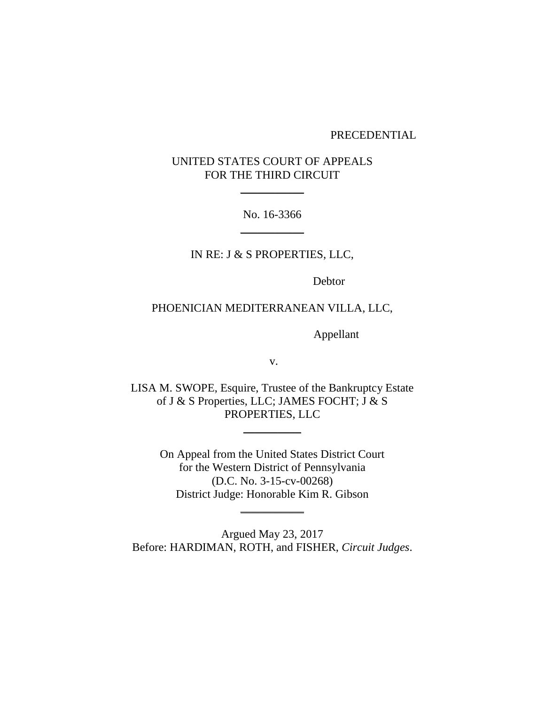#### PRECEDENTIAL

# UNITED STATES COURT OF APPEALS FOR THE THIRD CIRCUIT

 $\overline{\phantom{a}}$  , where  $\overline{\phantom{a}}$ 

No. 16-3366  $\overline{\phantom{a}}$  , where  $\overline{\phantom{a}}$ 

IN RE: J & S PROPERTIES, LLC,

Debtor

# PHOENICIAN MEDITERRANEAN VILLA, LLC,

Appellant

v.

LISA M. SWOPE, Esquire, Trustee of the Bankruptcy Estate of J & S Properties, LLC; JAMES FOCHT; J & S PROPERTIES, LLC

 $\overline{\phantom{a}}$ 

On Appeal from the United States District Court for the Western District of Pennsylvania (D.C. No. 3-15-cv-00268) District Judge: Honorable Kim R. Gibson

 $\overline{\phantom{a}}$  , where  $\overline{\phantom{a}}$ 

Argued May 23, 2017 Before: HARDIMAN, ROTH, and FISHER, *Circuit Judges*.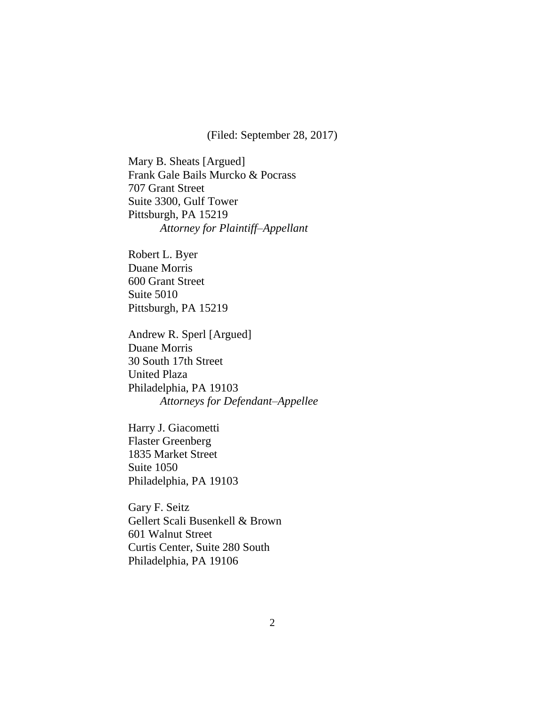(Filed: September 28, 2017)

Mary B. Sheats [Argued] Frank Gale Bails Murcko & Pocrass 707 Grant Street Suite 3300, Gulf Tower Pittsburgh, PA 15219 *Attorney for Plaintiff–Appellant*

Robert L. Byer Duane Morris 600 Grant Street Suite 5010 Pittsburgh, PA 15219

Andrew R. Sperl [Argued] Duane Morris 30 South 17th Street United Plaza Philadelphia, PA 19103 *Attorneys for Defendant–Appellee*

Harry J. Giacometti Flaster Greenberg 1835 Market Street Suite 1050 Philadelphia, PA 19103

Gary F. Seitz Gellert Scali Busenkell & Brown 601 Walnut Street Curtis Center, Suite 280 South Philadelphia, PA 19106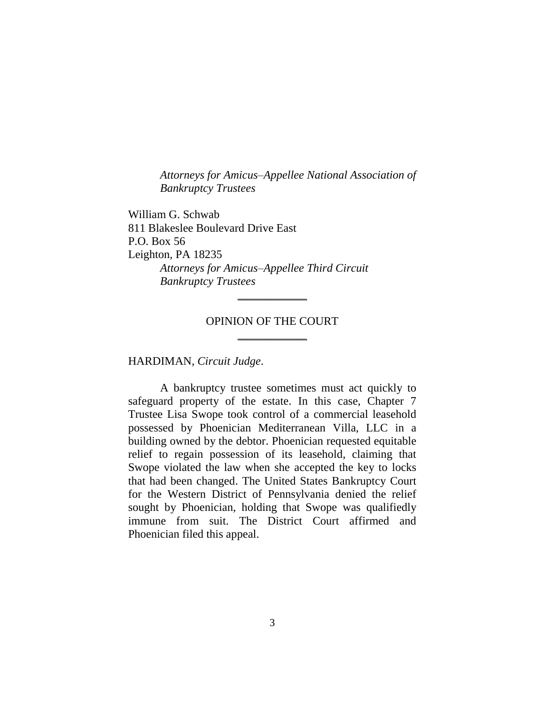*Attorneys for Amicus–Appellee National Association of Bankruptcy Trustees*

William G. Schwab 811 Blakeslee Boulevard Drive East P.O. Box 56 Leighton, PA 18235 *Attorneys for Amicus–Appellee Third Circuit Bankruptcy Trustees*

# OPINION OF THE COURT  $\frac{1}{2}$

\_\_\_\_\_\_\_\_\_\_\_\_

HARDIMAN, *Circuit Judge*.

A bankruptcy trustee sometimes must act quickly to safeguard property of the estate. In this case, Chapter 7 Trustee Lisa Swope took control of a commercial leasehold possessed by Phoenician Mediterranean Villa, LLC in a building owned by the debtor. Phoenician requested equitable relief to regain possession of its leasehold, claiming that Swope violated the law when she accepted the key to locks that had been changed. The United States Bankruptcy Court for the Western District of Pennsylvania denied the relief sought by Phoenician, holding that Swope was qualifiedly immune from suit. The District Court affirmed and Phoenician filed this appeal.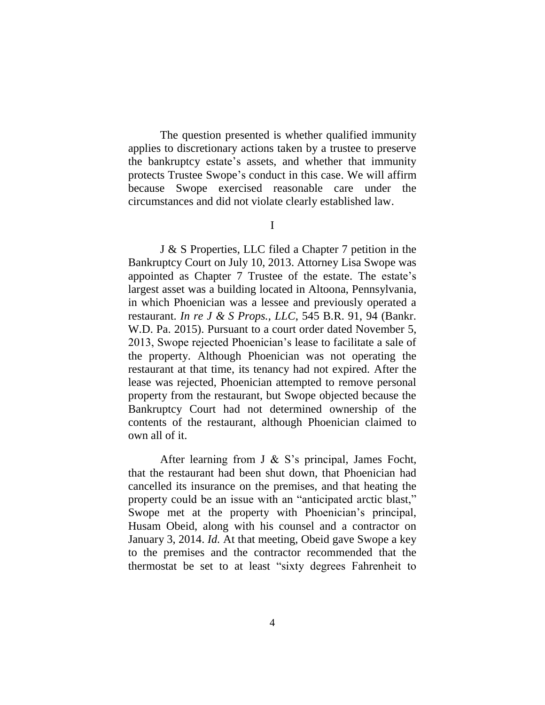The question presented is whether qualified immunity applies to discretionary actions taken by a trustee to preserve the bankruptcy estate's assets, and whether that immunity protects Trustee Swope's conduct in this case. We will affirm because Swope exercised reasonable care under the circumstances and did not violate clearly established law.

J & S Properties, LLC filed a Chapter 7 petition in the Bankruptcy Court on July 10, 2013. Attorney Lisa Swope was appointed as Chapter 7 Trustee of the estate. The estate's largest asset was a building located in Altoona, Pennsylvania, in which Phoenician was a lessee and previously operated a restaurant. *In re J & S Props., LLC*, 545 B.R. 91, 94 (Bankr. W.D. Pa. 2015). Pursuant to a court order dated November 5, 2013, Swope rejected Phoenician's lease to facilitate a sale of the property. Although Phoenician was not operating the restaurant at that time, its tenancy had not expired. After the lease was rejected, Phoenician attempted to remove personal property from the restaurant, but Swope objected because the Bankruptcy Court had not determined ownership of the contents of the restaurant, although Phoenician claimed to own all of it.

After learning from J & S's principal, James Focht, that the restaurant had been shut down, that Phoenician had cancelled its insurance on the premises, and that heating the property could be an issue with an "anticipated arctic blast," Swope met at the property with Phoenician's principal, Husam Obeid, along with his counsel and a contractor on January 3, 2014. *Id.* At that meeting, Obeid gave Swope a key to the premises and the contractor recommended that the thermostat be set to at least "sixty degrees Fahrenheit to

I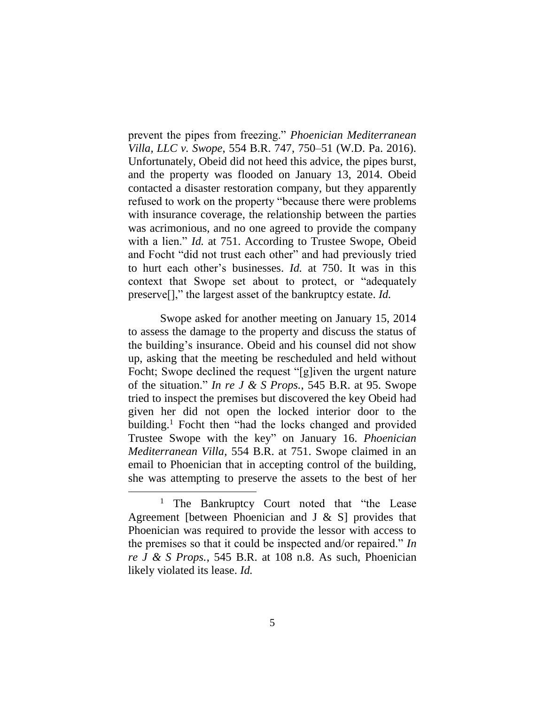prevent the pipes from freezing." *Phoenician Mediterranean Villa, LLC v. Swope*, 554 B.R. 747, 750–51 (W.D. Pa. 2016). Unfortunately, Obeid did not heed this advice, the pipes burst, and the property was flooded on January 13, 2014. Obeid contacted a disaster restoration company, but they apparently refused to work on the property "because there were problems with insurance coverage, the relationship between the parties was acrimonious, and no one agreed to provide the company with a lien." *Id.* at 751. According to Trustee Swope, Obeid and Focht "did not trust each other" and had previously tried to hurt each other's businesses. *Id.* at 750. It was in this context that Swope set about to protect, or "adequately preserve[]," the largest asset of the bankruptcy estate. *Id.*

Swope asked for another meeting on January 15, 2014 to assess the damage to the property and discuss the status of the building's insurance. Obeid and his counsel did not show up, asking that the meeting be rescheduled and held without Focht; Swope declined the request "[g]iven the urgent nature of the situation." *In re J & S Props.*, 545 B.R. at 95. Swope tried to inspect the premises but discovered the key Obeid had given her did not open the locked interior door to the building.<sup>1</sup> Focht then "had the locks changed and provided Trustee Swope with the key" on January 16. *Phoenician Mediterranean Villa*, 554 B.R. at 751. Swope claimed in an email to Phoenician that in accepting control of the building, she was attempting to preserve the assets to the best of her

 $\overline{a}$ 

<sup>&</sup>lt;sup>1</sup> The Bankruptcy Court noted that "the Lease" Agreement [between Phoenician and J & S] provides that Phoenician was required to provide the lessor with access to the premises so that it could be inspected and/or repaired." *In re J & S Props.*, 545 B.R. at 108 n.8. As such, Phoenician likely violated its lease. *Id.*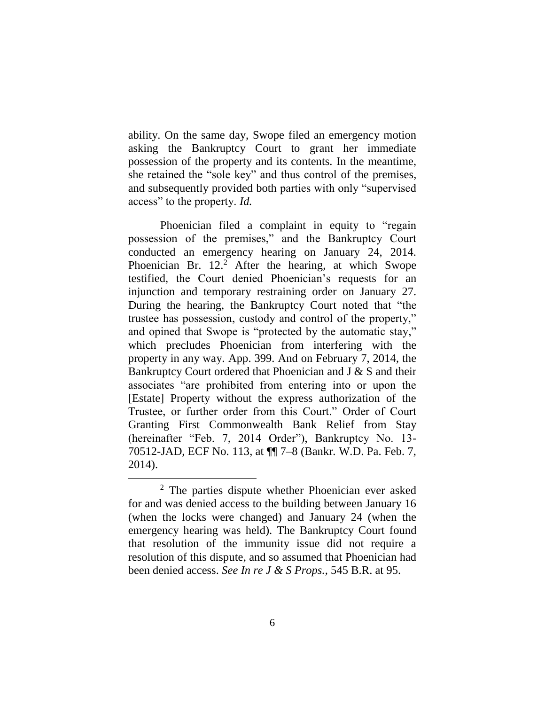ability. On the same day, Swope filed an emergency motion asking the Bankruptcy Court to grant her immediate possession of the property and its contents. In the meantime, she retained the "sole key" and thus control of the premises, and subsequently provided both parties with only "supervised access" to the property. *Id.*

Phoenician filed a complaint in equity to "regain possession of the premises," and the Bankruptcy Court conducted an emergency hearing on January 24, 2014. Phoenician Br.  $12<sup>2</sup>$  After the hearing, at which Swope testified, the Court denied Phoenician's requests for an injunction and temporary restraining order on January 27. During the hearing, the Bankruptcy Court noted that "the trustee has possession, custody and control of the property," and opined that Swope is "protected by the automatic stay," which precludes Phoenician from interfering with the property in any way. App. 399. And on February 7, 2014, the Bankruptcy Court ordered that Phoenician and J & S and their associates "are prohibited from entering into or upon the [Estate] Property without the express authorization of the Trustee, or further order from this Court." Order of Court Granting First Commonwealth Bank Relief from Stay (hereinafter "Feb. 7, 2014 Order"), Bankruptcy No. 13- 70512-JAD, ECF No. 113, at ¶¶ 7–8 (Bankr. W.D. Pa. Feb. 7, 2014).

 $\overline{a}$ 

<sup>2</sup> The parties dispute whether Phoenician ever asked for and was denied access to the building between January 16 (when the locks were changed) and January 24 (when the emergency hearing was held). The Bankruptcy Court found that resolution of the immunity issue did not require a resolution of this dispute, and so assumed that Phoenician had been denied access. *See In re J & S Props.*, 545 B.R. at 95.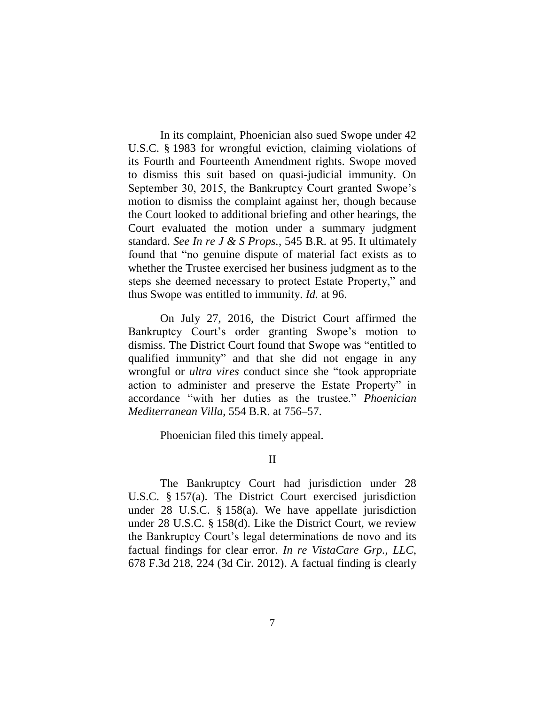In its complaint, Phoenician also sued Swope under 42 U.S.C. § 1983 for wrongful eviction, claiming violations of its Fourth and Fourteenth Amendment rights. Swope moved to dismiss this suit based on quasi-judicial immunity. On September 30, 2015, the Bankruptcy Court granted Swope's motion to dismiss the complaint against her, though because the Court looked to additional briefing and other hearings, the Court evaluated the motion under a summary judgment standard. *See In re J & S Props.*, 545 B.R. at 95. It ultimately found that "no genuine dispute of material fact exists as to whether the Trustee exercised her business judgment as to the steps she deemed necessary to protect Estate Property," and thus Swope was entitled to immunity. *Id.* at 96.

On July 27, 2016, the District Court affirmed the Bankruptcy Court's order granting Swope's motion to dismiss. The District Court found that Swope was "entitled to qualified immunity" and that she did not engage in any wrongful or *ultra vires* conduct since she "took appropriate action to administer and preserve the Estate Property" in accordance "with her duties as the trustee." *Phoenician Mediterranean Villa*, 554 B.R. at 756–57.

Phoenician filed this timely appeal.

II

The Bankruptcy Court had jurisdiction under 28 U.S.C. § 157(a). The District Court exercised jurisdiction under 28 U.S.C. § 158(a). We have appellate jurisdiction under 28 U.S.C. § 158(d). Like the District Court, we review the Bankruptcy Court's legal determinations de novo and its factual findings for clear error. *In re VistaCare Grp., LLC*, 678 F.3d 218, 224 (3d Cir. 2012). A factual finding is clearly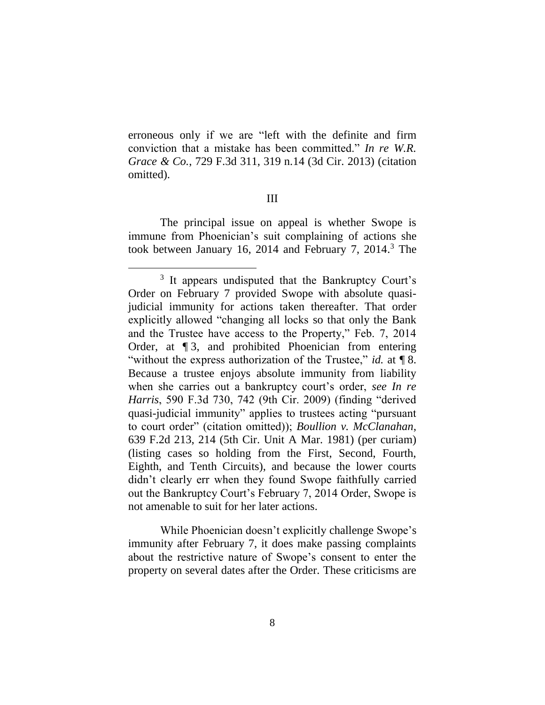erroneous only if we are "left with the definite and firm conviction that a mistake has been committed." *In re W.R. Grace & Co.*, 729 F.3d 311, 319 n.14 (3d Cir. 2013) (citation omitted).

### III

The principal issue on appeal is whether Swope is immune from Phoenician's suit complaining of actions she took between January 16, 2014 and February 7, 2014. <sup>3</sup> The

 $\overline{a}$ 

While Phoenician doesn't explicitly challenge Swope's immunity after February 7, it does make passing complaints about the restrictive nature of Swope's consent to enter the property on several dates after the Order. These criticisms are

<sup>&</sup>lt;sup>3</sup> It appears undisputed that the Bankruptcy Court's Order on February 7 provided Swope with absolute quasijudicial immunity for actions taken thereafter. That order explicitly allowed "changing all locks so that only the Bank and the Trustee have access to the Property," Feb. 7, 2014 Order, at ¶ 3, and prohibited Phoenician from entering "without the express authorization of the Trustee," *id.* at ¶ 8. Because a trustee enjoys absolute immunity from liability when she carries out a bankruptcy court's order, *see In re Harris*, 590 F.3d 730, 742 (9th Cir. 2009) (finding "derived quasi-judicial immunity" applies to trustees acting "pursuant to court order" (citation omitted)); *Boullion v. McClanahan*, 639 F.2d 213, 214 (5th Cir. Unit A Mar. 1981) (per curiam) (listing cases so holding from the First, Second, Fourth, Eighth, and Tenth Circuits), and because the lower courts didn't clearly err when they found Swope faithfully carried out the Bankruptcy Court's February 7, 2014 Order, Swope is not amenable to suit for her later actions.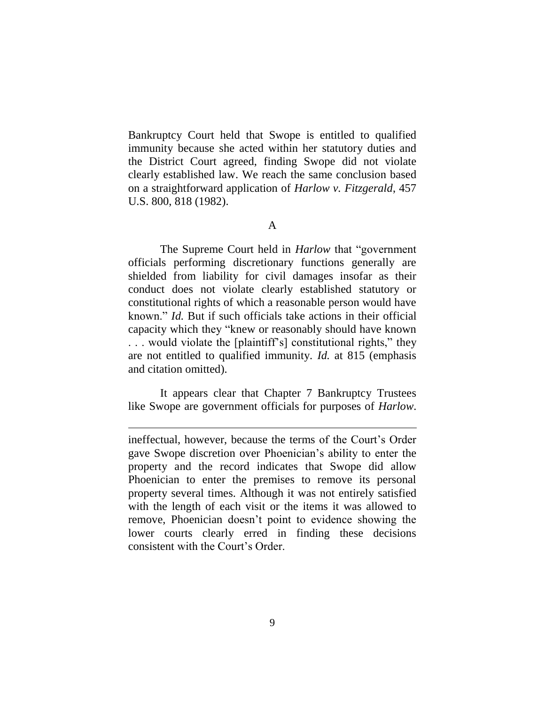Bankruptcy Court held that Swope is entitled to qualified immunity because she acted within her statutory duties and the District Court agreed, finding Swope did not violate clearly established law. We reach the same conclusion based on a straightforward application of *Harlow v. Fitzgerald*, 457 U.S. 800, 818 (1982).

The Supreme Court held in *Harlow* that "government officials performing discretionary functions generally are shielded from liability for civil damages insofar as their conduct does not violate clearly established statutory or constitutional rights of which a reasonable person would have known." *Id.* But if such officials take actions in their official capacity which they "knew or reasonably should have known . . . would violate the [plaintiff's] constitutional rights," they are not entitled to qualified immunity. *Id.* at 815 (emphasis and citation omitted).

It appears clear that Chapter 7 Bankruptcy Trustees like Swope are government officials for purposes of *Harlow*.

 $\overline{a}$ 

A

ineffectual, however, because the terms of the Court's Order gave Swope discretion over Phoenician's ability to enter the property and the record indicates that Swope did allow Phoenician to enter the premises to remove its personal property several times. Although it was not entirely satisfied with the length of each visit or the items it was allowed to remove, Phoenician doesn't point to evidence showing the lower courts clearly erred in finding these decisions consistent with the Court's Order.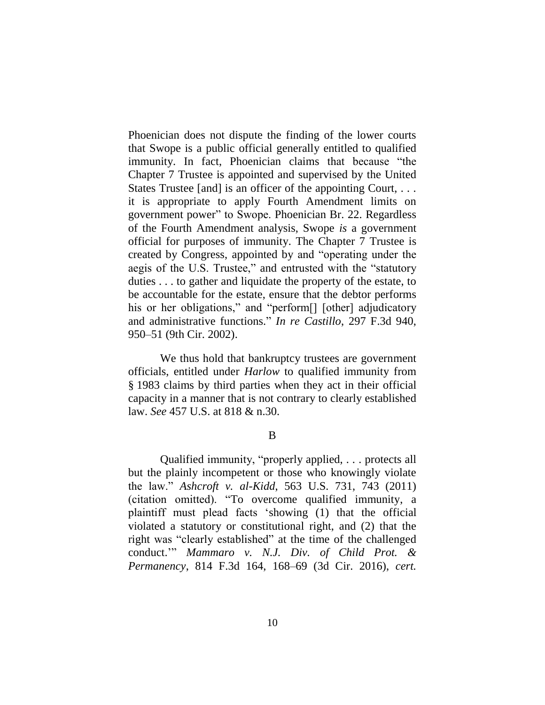Phoenician does not dispute the finding of the lower courts that Swope is a public official generally entitled to qualified immunity. In fact, Phoenician claims that because "the Chapter 7 Trustee is appointed and supervised by the United States Trustee [and] is an officer of the appointing Court, . . . it is appropriate to apply Fourth Amendment limits on government power" to Swope. Phoenician Br. 22. Regardless of the Fourth Amendment analysis, Swope *is* a government official for purposes of immunity. The Chapter 7 Trustee is created by Congress, appointed by and "operating under the aegis of the U.S. Trustee," and entrusted with the "statutory duties . . . to gather and liquidate the property of the estate, to be accountable for the estate, ensure that the debtor performs his or her obligations," and "perform[] [other] adjudicatory and administrative functions." *In re Castillo*, 297 F.3d 940, 950–51 (9th Cir. 2002).

We thus hold that bankruptcy trustees are government officials, entitled under *Harlow* to qualified immunity from § 1983 claims by third parties when they act in their official capacity in a manner that is not contrary to clearly established law. *See* 457 U.S. at 818 & n.30.

### B

Qualified immunity, "properly applied, . . . protects all but the plainly incompetent or those who knowingly violate the law." *Ashcroft v. al-Kidd*, 563 U.S. 731, 743 (2011) (citation omitted). "To overcome qualified immunity, a plaintiff must plead facts 'showing (1) that the official violated a statutory or constitutional right, and (2) that the right was "clearly established" at the time of the challenged conduct.'" *Mammaro v. N.J. Div. of Child Prot. & Permanency*, 814 F.3d 164, 168–69 (3d Cir. 2016), *cert.*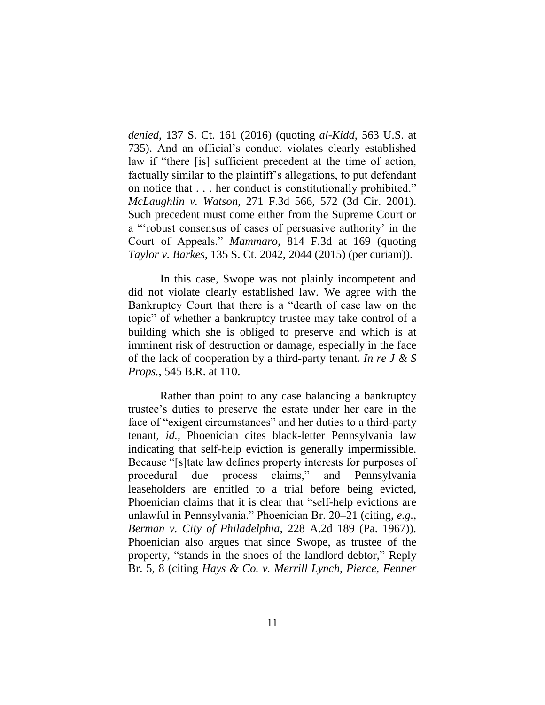*denied*, 137 S. Ct. 161 (2016) (quoting *al-Kidd*, 563 U.S. at 735). And an official's conduct violates clearly established law if "there [is] sufficient precedent at the time of action, factually similar to the plaintiff's allegations, to put defendant on notice that . . . her conduct is constitutionally prohibited." *McLaughlin v. Watson*, 271 F.3d 566, 572 (3d Cir. 2001). Such precedent must come either from the Supreme Court or a "'robust consensus of cases of persuasive authority' in the Court of Appeals." *Mammaro*, 814 F.3d at 169 (quoting *Taylor v. Barkes*, 135 S. Ct. 2042, 2044 (2015) (per curiam)).

In this case, Swope was not plainly incompetent and did not violate clearly established law. We agree with the Bankruptcy Court that there is a "dearth of case law on the topic" of whether a bankruptcy trustee may take control of a building which she is obliged to preserve and which is at imminent risk of destruction or damage, especially in the face of the lack of cooperation by a third-party tenant. *In re J & S Props.*, 545 B.R. at 110.

Rather than point to any case balancing a bankruptcy trustee's duties to preserve the estate under her care in the face of "exigent circumstances" and her duties to a third-party tenant, *id.*, Phoenician cites black-letter Pennsylvania law indicating that self-help eviction is generally impermissible. Because "[s]tate law defines property interests for purposes of procedural due process claims," and Pennsylvania leaseholders are entitled to a trial before being evicted, Phoenician claims that it is clear that "self-help evictions are unlawful in Pennsylvania." Phoenician Br. 20–21 (citing, *e.g.*, *Berman v. City of Philadelphia*, 228 A.2d 189 (Pa. 1967)). Phoenician also argues that since Swope, as trustee of the property, "stands in the shoes of the landlord debtor," Reply Br. 5, 8 (citing *Hays & Co. v. Merrill Lynch, Pierce, Fenner*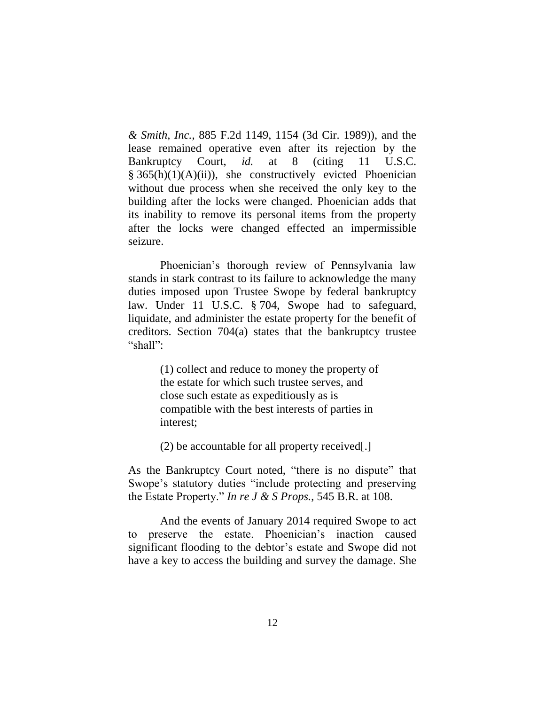*& Smith, Inc.*, 885 F.2d 1149, 1154 (3d Cir. 1989)), and the lease remained operative even after its rejection by the Bankruptcy Court, *id.* at 8 (citing 11 U.S.C. § 365(h)(1)(A)(ii)), she constructively evicted Phoenician without due process when she received the only key to the building after the locks were changed. Phoenician adds that its inability to remove its personal items from the property after the locks were changed effected an impermissible seizure.

Phoenician's thorough review of Pennsylvania law stands in stark contrast to its failure to acknowledge the many duties imposed upon Trustee Swope by federal bankruptcy law. Under 11 U.S.C. § 704, Swope had to safeguard, liquidate, and administer the estate property for the benefit of creditors. Section 704(a) states that the bankruptcy trustee "shall":

> (1) collect and reduce to money the property of the estate for which such trustee serves, and close such estate as expeditiously as is compatible with the best interests of parties in interest;

(2) be accountable for all property received[.]

As the Bankruptcy Court noted, "there is no dispute" that Swope's statutory duties "include protecting and preserving the Estate Property." *In re J & S Props.*, 545 B.R. at 108.

And the events of January 2014 required Swope to act to preserve the estate. Phoenician's inaction caused significant flooding to the debtor's estate and Swope did not have a key to access the building and survey the damage. She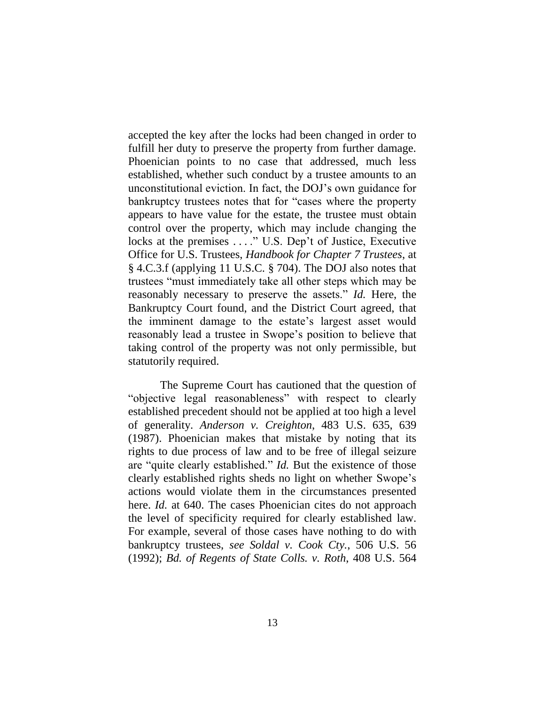accepted the key after the locks had been changed in order to fulfill her duty to preserve the property from further damage. Phoenician points to no case that addressed, much less established, whether such conduct by a trustee amounts to an unconstitutional eviction. In fact, the DOJ's own guidance for bankruptcy trustees notes that for "cases where the property appears to have value for the estate, the trustee must obtain control over the property, which may include changing the locks at the premises . . . ." U.S. Dep't of Justice, Executive Office for U.S. Trustees, *Handbook for Chapter 7 Trustees*, at § 4.C.3.f (applying 11 U.S.C. § 704). The DOJ also notes that trustees "must immediately take all other steps which may be reasonably necessary to preserve the assets." *Id.* Here, the Bankruptcy Court found, and the District Court agreed, that the imminent damage to the estate's largest asset would reasonably lead a trustee in Swope's position to believe that taking control of the property was not only permissible, but statutorily required.

The Supreme Court has cautioned that the question of "objective legal reasonableness" with respect to clearly established precedent should not be applied at too high a level of generality. *Anderson v. Creighton*, 483 U.S. 635, 639 (1987). Phoenician makes that mistake by noting that its rights to due process of law and to be free of illegal seizure are "quite clearly established." *Id.* But the existence of those clearly established rights sheds no light on whether Swope's actions would violate them in the circumstances presented here. *Id.* at 640. The cases Phoenician cites do not approach the level of specificity required for clearly established law. For example, several of those cases have nothing to do with bankruptcy trustees, *see Soldal v. Cook Cty.*, 506 U.S. 56 (1992); *Bd. of Regents of State Colls. v. Roth*, 408 U.S. 564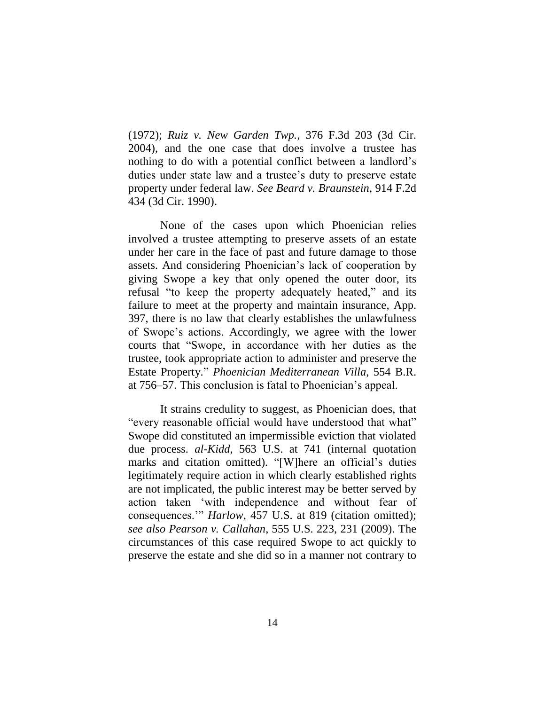(1972); *Ruiz v. New Garden Twp.*, 376 F.3d 203 (3d Cir. 2004), and the one case that does involve a trustee has nothing to do with a potential conflict between a landlord's duties under state law and a trustee's duty to preserve estate property under federal law. *See Beard v. Braunstein*, 914 F.2d 434 (3d Cir. 1990).

None of the cases upon which Phoenician relies involved a trustee attempting to preserve assets of an estate under her care in the face of past and future damage to those assets. And considering Phoenician's lack of cooperation by giving Swope a key that only opened the outer door, its refusal "to keep the property adequately heated," and its failure to meet at the property and maintain insurance, App. 397, there is no law that clearly establishes the unlawfulness of Swope's actions. Accordingly, we agree with the lower courts that "Swope, in accordance with her duties as the trustee, took appropriate action to administer and preserve the Estate Property." *Phoenician Mediterranean Villa*, 554 B.R. at 756–57. This conclusion is fatal to Phoenician's appeal.

It strains credulity to suggest, as Phoenician does, that "every reasonable official would have understood that what" Swope did constituted an impermissible eviction that violated due process. *al-Kidd*, 563 U.S. at 741 (internal quotation marks and citation omitted). "[W]here an official's duties legitimately require action in which clearly established rights are not implicated, the public interest may be better served by action taken 'with independence and without fear of consequences.'" *Harlow*, 457 U.S. at 819 (citation omitted); *see also Pearson v. Callahan*, 555 U.S. 223, 231 (2009). The circumstances of this case required Swope to act quickly to preserve the estate and she did so in a manner not contrary to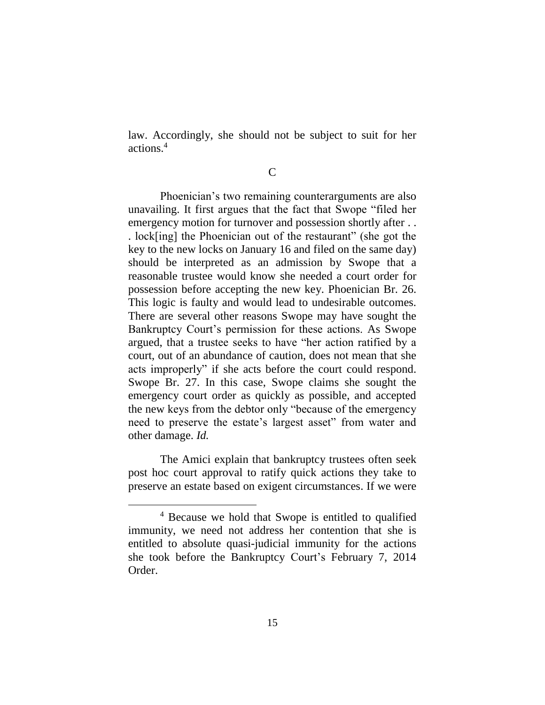law. Accordingly, she should not be subject to suit for her actions.<sup>4</sup>

C

Phoenician's two remaining counterarguments are also unavailing. It first argues that the fact that Swope "filed her emergency motion for turnover and possession shortly after ... . lock[ing] the Phoenician out of the restaurant" (she got the key to the new locks on January 16 and filed on the same day) should be interpreted as an admission by Swope that a reasonable trustee would know she needed a court order for possession before accepting the new key. Phoenician Br. 26. This logic is faulty and would lead to undesirable outcomes. There are several other reasons Swope may have sought the Bankruptcy Court's permission for these actions. As Swope argued, that a trustee seeks to have "her action ratified by a court, out of an abundance of caution, does not mean that she acts improperly" if she acts before the court could respond. Swope Br. 27. In this case, Swope claims she sought the emergency court order as quickly as possible, and accepted the new keys from the debtor only "because of the emergency need to preserve the estate's largest asset" from water and other damage. *Id.*

The Amici explain that bankruptcy trustees often seek post hoc court approval to ratify quick actions they take to preserve an estate based on exigent circumstances. If we were

 $\overline{a}$ 

<sup>4</sup> Because we hold that Swope is entitled to qualified immunity, we need not address her contention that she is entitled to absolute quasi-judicial immunity for the actions she took before the Bankruptcy Court's February 7, 2014 Order.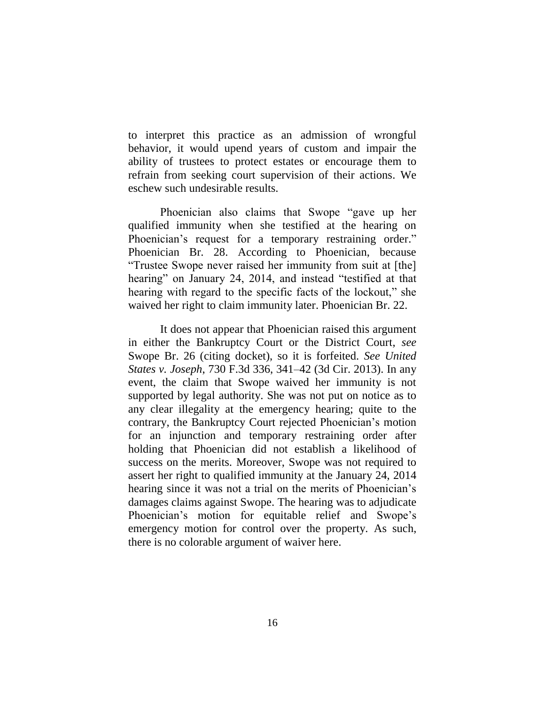to interpret this practice as an admission of wrongful behavior, it would upend years of custom and impair the ability of trustees to protect estates or encourage them to refrain from seeking court supervision of their actions. We eschew such undesirable results.

Phoenician also claims that Swope "gave up her qualified immunity when she testified at the hearing on Phoenician's request for a temporary restraining order." Phoenician Br. 28. According to Phoenician, because "Trustee Swope never raised her immunity from suit at [the] hearing" on January 24, 2014, and instead "testified at that hearing with regard to the specific facts of the lockout," she waived her right to claim immunity later. Phoenician Br. 22.

It does not appear that Phoenician raised this argument in either the Bankruptcy Court or the District Court, *see* Swope Br. 26 (citing docket), so it is forfeited. *See United States v. Joseph*, 730 F.3d 336, 341–42 (3d Cir. 2013). In any event, the claim that Swope waived her immunity is not supported by legal authority. She was not put on notice as to any clear illegality at the emergency hearing; quite to the contrary, the Bankruptcy Court rejected Phoenician's motion for an injunction and temporary restraining order after holding that Phoenician did not establish a likelihood of success on the merits. Moreover, Swope was not required to assert her right to qualified immunity at the January 24, 2014 hearing since it was not a trial on the merits of Phoenician's damages claims against Swope. The hearing was to adjudicate Phoenician's motion for equitable relief and Swope's emergency motion for control over the property. As such, there is no colorable argument of waiver here.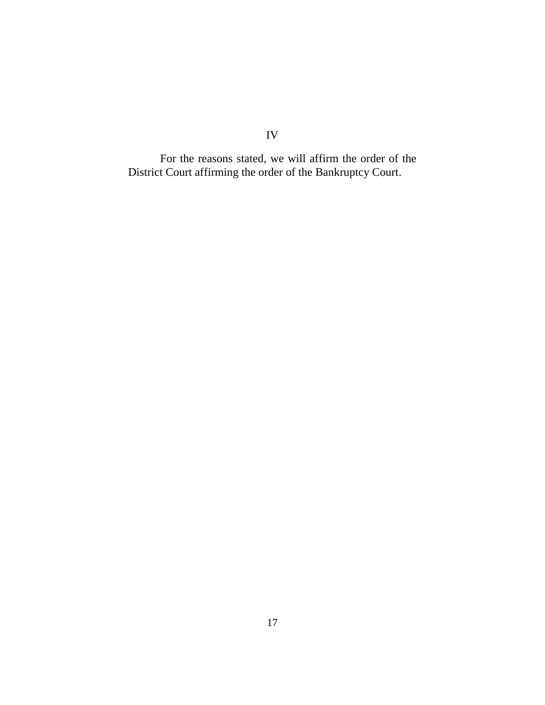For the reasons stated, we will affirm the order of the District Court affirming the order of the Bankruptcy Court.

IV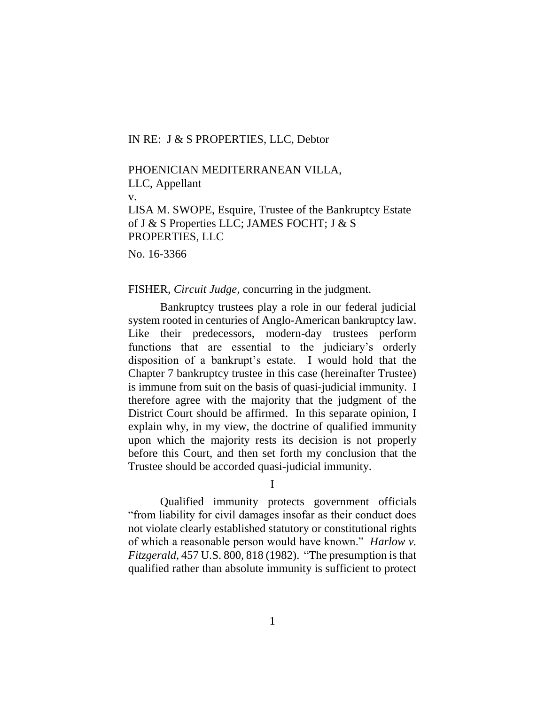### IN RE: J & S PROPERTIES, LLC, Debtor

## PHOENICIAN MEDITERRANEAN VILLA,

LLC, Appellant

v.

LISA M. SWOPE, Esquire, Trustee of the Bankruptcy Estate of J & S Properties LLC; JAMES FOCHT; J & S PROPERTIES, LLC

No. 16-3366

#### FISHER, *Circuit Judge*, concurring in the judgment.

Bankruptcy trustees play a role in our federal judicial system rooted in centuries of Anglo-American bankruptcy law. Like their predecessors, modern-day trustees perform functions that are essential to the judiciary's orderly disposition of a bankrupt's estate. I would hold that the Chapter 7 bankruptcy trustee in this case (hereinafter Trustee) is immune from suit on the basis of quasi-judicial immunity. I therefore agree with the majority that the judgment of the District Court should be affirmed. In this separate opinion, I explain why, in my view, the doctrine of qualified immunity upon which the majority rests its decision is not properly before this Court, and then set forth my conclusion that the Trustee should be accorded quasi-judicial immunity.

I

Qualified immunity protects government officials "from liability for civil damages insofar as their conduct does not violate clearly established statutory or constitutional rights of which a reasonable person would have known." *Harlow v. Fitzgerald*, 457 U.S. 800, 818 (1982). "The presumption is that qualified rather than absolute immunity is sufficient to protect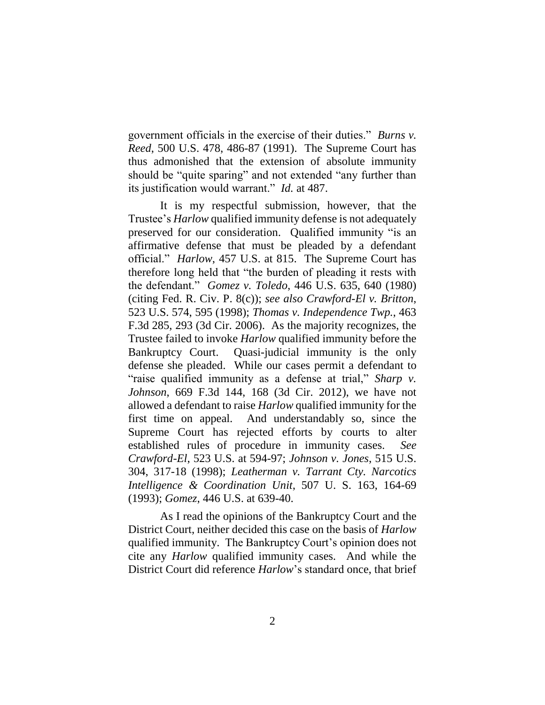government officials in the exercise of their duties." *Burns v. Reed*, 500 U.S. 478, 486-87 (1991). The Supreme Court has thus admonished that the extension of absolute immunity should be "quite sparing" and not extended "any further than its justification would warrant." *Id.* at 487.

It is my respectful submission, however, that the Trustee's *Harlow* qualified immunity defense is not adequately preserved for our consideration. Qualified immunity "is an affirmative defense that must be pleaded by a defendant official." *Harlow*, 457 U.S. at 815. The Supreme Court has therefore long held that "the burden of pleading it rests with the defendant." *Gomez v. Toledo*, 446 U.S. 635, 640 (1980) (citing Fed. R. Civ. P. 8(c)); *see also Crawford-El v. Britton*, 523 U.S. 574, 595 (1998); *Thomas v. Independence Twp.*, 463 F.3d 285, 293 (3d Cir. 2006). As the majority recognizes, the Trustee failed to invoke *Harlow* qualified immunity before the Bankruptcy Court. Quasi-judicial immunity is the only defense she pleaded. While our cases permit a defendant to "raise qualified immunity as a defense at trial," *Sharp v. Johnson*, 669 F.3d 144, 168 (3d Cir. 2012), we have not allowed a defendant to raise *Harlow* qualified immunity for the first time on appeal. And understandably so, since the Supreme Court has rejected efforts by courts to alter established rules of procedure in immunity cases. *See Crawford-El*, 523 U.S. at 594-97; *Johnson v. Jones*, 515 U.S. 304, 317-18 (1998); *Leatherman v. Tarrant Cty. Narcotics Intelligence & Coordination Unit*, 507 U. S. 163, 164-69 (1993); *Gomez*, 446 U.S. at 639-40.

As I read the opinions of the Bankruptcy Court and the District Court, neither decided this case on the basis of *Harlow* qualified immunity. The Bankruptcy Court's opinion does not cite any *Harlow* qualified immunity cases. And while the District Court did reference *Harlow*'s standard once, that brief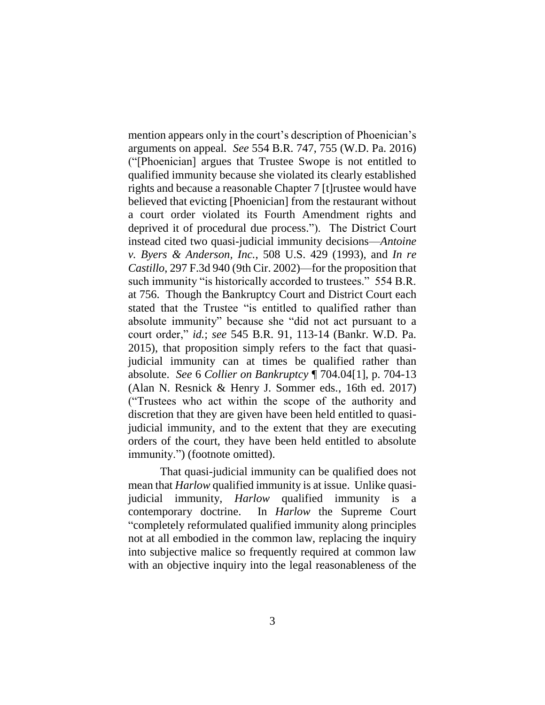mention appears only in the court's description of Phoenician's arguments on appeal. *See* 554 B.R. 747, 755 (W.D. Pa. 2016) ("[Phoenician] argues that Trustee Swope is not entitled to qualified immunity because she violated its clearly established rights and because a reasonable Chapter 7 [t]rustee would have believed that evicting [Phoenician] from the restaurant without a court order violated its Fourth Amendment rights and deprived it of procedural due process."). The District Court instead cited two quasi-judicial immunity decisions—*Antoine v. Byers & Anderson, Inc.*, 508 U.S. 429 (1993), and *In re Castillo*, 297 F.3d 940 (9th Cir. 2002)—for the proposition that such immunity "is historically accorded to trustees." 554 B.R. at 756. Though the Bankruptcy Court and District Court each stated that the Trustee "is entitled to qualified rather than absolute immunity" because she "did not act pursuant to a court order," *id.*; *see* 545 B.R. 91, 113-14 (Bankr. W.D. Pa. 2015), that proposition simply refers to the fact that quasijudicial immunity can at times be qualified rather than absolute. *See* 6 *Collier on Bankruptcy* ¶ 704.04[1], p. 704-13 (Alan N. Resnick & Henry J. Sommer eds., 16th ed. 2017) ("Trustees who act within the scope of the authority and discretion that they are given have been held entitled to quasijudicial immunity, and to the extent that they are executing orders of the court, they have been held entitled to absolute immunity.") (footnote omitted).

That quasi-judicial immunity can be qualified does not mean that *Harlow* qualified immunity is at issue. Unlike quasijudicial immunity, *Harlow* qualified immunity is a contemporary doctrine. In *Harlow* the Supreme Court "completely reformulated qualified immunity along principles not at all embodied in the common law, replacing the inquiry into subjective malice so frequently required at common law with an objective inquiry into the legal reasonableness of the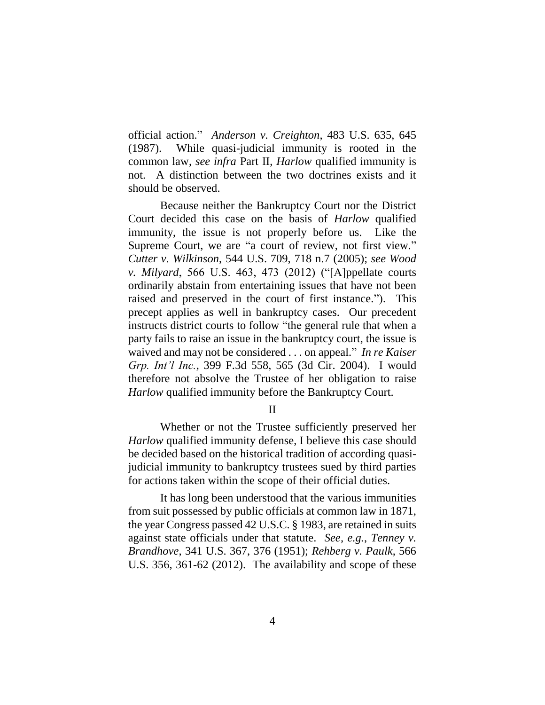official action." *Anderson v. Creighton*, 483 U.S. 635, 645 (1987). While quasi-judicial immunity is rooted in the common law, *see infra* Part II, *Harlow* qualified immunity is not. A distinction between the two doctrines exists and it should be observed.

Because neither the Bankruptcy Court nor the District Court decided this case on the basis of *Harlow* qualified immunity, the issue is not properly before us. Like the Supreme Court, we are "a court of review, not first view." *Cutter v. Wilkinson*, 544 U.S. 709, 718 n.7 (2005); *see Wood v. Milyard*, 566 U.S. 463, 473 (2012) ("[A]ppellate courts ordinarily abstain from entertaining issues that have not been raised and preserved in the court of first instance."). This precept applies as well in bankruptcy cases. Our precedent instructs district courts to follow "the general rule that when a party fails to raise an issue in the bankruptcy court, the issue is waived and may not be considered . . . on appeal." *In re Kaiser Grp. Int'l Inc.*, 399 F.3d 558, 565 (3d Cir. 2004). I would therefore not absolve the Trustee of her obligation to raise *Harlow* qualified immunity before the Bankruptcy Court.

II

Whether or not the Trustee sufficiently preserved her *Harlow* qualified immunity defense, I believe this case should be decided based on the historical tradition of according quasijudicial immunity to bankruptcy trustees sued by third parties for actions taken within the scope of their official duties.

It has long been understood that the various immunities from suit possessed by public officials at common law in 1871, the year Congress passed 42 U.S.C. § 1983, are retained in suits against state officials under that statute. *See, e.g.*, *Tenney v. Brandhove*, 341 U.S. 367, 376 (1951); *Rehberg v. Paulk*, 566 U.S. 356, 361-62 (2012). The availability and scope of these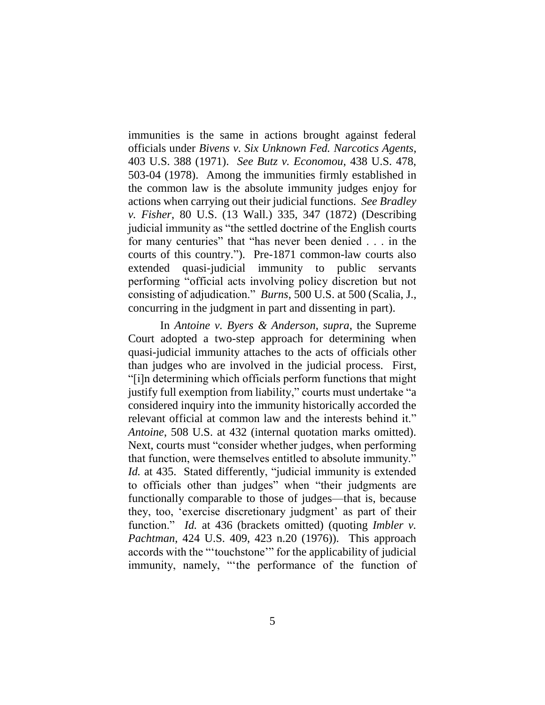immunities is the same in actions brought against federal officials under *Bivens v. Six Unknown Fed. Narcotics Agents*, 403 U.S. 388 (1971). *See Butz v. Economou*, 438 U.S. 478, 503-04 (1978). Among the immunities firmly established in the common law is the absolute immunity judges enjoy for actions when carrying out their judicial functions. *See Bradley v. Fisher*, 80 U.S. (13 Wall.) 335, 347 (1872) (Describing judicial immunity as "the settled doctrine of the English courts for many centuries" that "has never been denied . . . in the courts of this country."). Pre-1871 common-law courts also extended quasi-judicial immunity to public servants performing "official acts involving policy discretion but not consisting of adjudication." *Burns*, 500 U.S. at 500 (Scalia, J., concurring in the judgment in part and dissenting in part).

In *Antoine v. Byers & Anderson*, *supra*, the Supreme Court adopted a two-step approach for determining when quasi-judicial immunity attaches to the acts of officials other than judges who are involved in the judicial process. First, "[i]n determining which officials perform functions that might justify full exemption from liability," courts must undertake "a considered inquiry into the immunity historically accorded the relevant official at common law and the interests behind it." *Antoine*, 508 U.S. at 432 (internal quotation marks omitted). Next, courts must "consider whether judges, when performing that function, were themselves entitled to absolute immunity." *Id.* at 435. Stated differently, "judicial immunity is extended to officials other than judges" when "their judgments are functionally comparable to those of judges—that is, because they, too, 'exercise discretionary judgment' as part of their function." *Id.* at 436 (brackets omitted) (quoting *Imbler v. Pachtman*, 424 U.S. 409, 423 n.20 (1976)). This approach accords with the "'touchstone'" for the applicability of judicial immunity, namely, "'the performance of the function of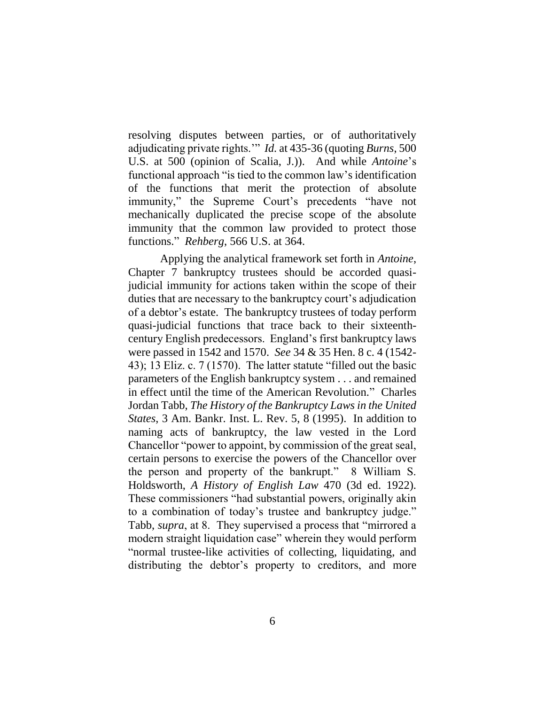resolving disputes between parties, or of authoritatively adjudicating private rights.'" *Id.* at 435-36 (quoting *Burns*, 500 U.S. at 500 (opinion of Scalia, J.)). And while *Antoine*'s functional approach "is tied to the common law's identification of the functions that merit the protection of absolute immunity," the Supreme Court's precedents "have not mechanically duplicated the precise scope of the absolute immunity that the common law provided to protect those functions." *Rehberg*, 566 U.S. at 364.

Applying the analytical framework set forth in *Antoine*, Chapter 7 bankruptcy trustees should be accorded quasijudicial immunity for actions taken within the scope of their duties that are necessary to the bankruptcy court's adjudication of a debtor's estate. The bankruptcy trustees of today perform quasi-judicial functions that trace back to their sixteenthcentury English predecessors. England's first bankruptcy laws were passed in 1542 and 1570. *See* 34 & 35 Hen. 8 c. 4 (1542- 43); 13 Eliz. c. 7 (1570). The latter statute "filled out the basic parameters of the English bankruptcy system . . . and remained in effect until the time of the American Revolution." Charles Jordan Tabb, *The History of the Bankruptcy Laws in the United States*, 3 Am. Bankr. Inst. L. Rev. 5, 8 (1995). In addition to naming acts of bankruptcy, the law vested in the Lord Chancellor "power to appoint, by commission of the great seal, certain persons to exercise the powers of the Chancellor over the person and property of the bankrupt." 8 William S. Holdsworth, *A History of English Law* 470 (3d ed. 1922). These commissioners "had substantial powers, originally akin to a combination of today's trustee and bankruptcy judge." Tabb, *supra*, at 8. They supervised a process that "mirrored a modern straight liquidation case" wherein they would perform "normal trustee-like activities of collecting, liquidating, and distributing the debtor's property to creditors, and more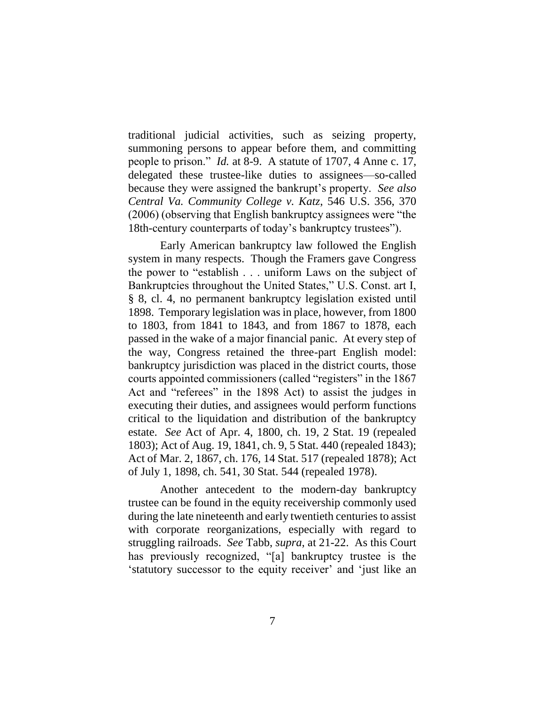traditional judicial activities, such as seizing property, summoning persons to appear before them, and committing people to prison." *Id.* at 8-9. A statute of 1707, 4 Anne c. 17, delegated these trustee-like duties to assignees—so-called because they were assigned the bankrupt's property. *See also Central Va. Community College v. Katz*, 546 U.S. 356, 370 (2006) (observing that English bankruptcy assignees were "the 18th-century counterparts of today's bankruptcy trustees").

Early American bankruptcy law followed the English system in many respects. Though the Framers gave Congress the power to "establish . . . uniform Laws on the subject of Bankruptcies throughout the United States," U.S. Const. art I, § 8, cl. 4, no permanent bankruptcy legislation existed until 1898. Temporary legislation was in place, however, from 1800 to 1803, from 1841 to 1843, and from 1867 to 1878, each passed in the wake of a major financial panic. At every step of the way, Congress retained the three-part English model: bankruptcy jurisdiction was placed in the district courts, those courts appointed commissioners (called "registers" in the 1867 Act and "referees" in the 1898 Act) to assist the judges in executing their duties, and assignees would perform functions critical to the liquidation and distribution of the bankruptcy estate. *See* Act of Apr. 4, 1800, ch. 19, 2 Stat. 19 (repealed 1803); Act of Aug. 19, 1841, ch. 9, 5 Stat. 440 (repealed 1843); Act of Mar. 2, 1867, ch. 176, 14 Stat. 517 (repealed 1878); Act of July 1, 1898, ch. 541, 30 Stat. 544 (repealed 1978).

Another antecedent to the modern-day bankruptcy trustee can be found in the equity receivership commonly used during the late nineteenth and early twentieth centuries to assist with corporate reorganizations, especially with regard to struggling railroads. *See* Tabb, *supra*, at 21-22. As this Court has previously recognized, "[a] bankruptcy trustee is the 'statutory successor to the equity receiver' and 'just like an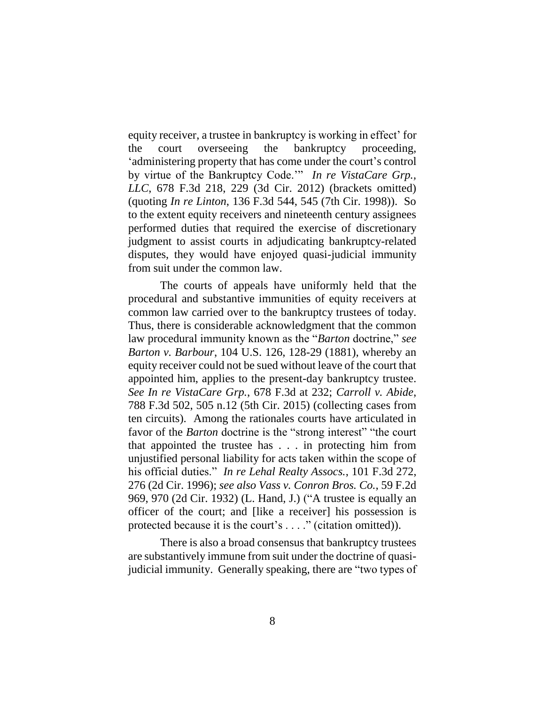equity receiver, a trustee in bankruptcy is working in effect' for the court overseeing the bankruptcy proceeding, 'administering property that has come under the court's control by virtue of the Bankruptcy Code.'" *In re VistaCare Grp., LLC*, 678 F.3d 218, 229 (3d Cir. 2012) (brackets omitted) (quoting *In re Linton*, 136 F.3d 544, 545 (7th Cir. 1998)). So to the extent equity receivers and nineteenth century assignees performed duties that required the exercise of discretionary judgment to assist courts in adjudicating bankruptcy-related disputes, they would have enjoyed quasi-judicial immunity from suit under the common law.

The courts of appeals have uniformly held that the procedural and substantive immunities of equity receivers at common law carried over to the bankruptcy trustees of today. Thus, there is considerable acknowledgment that the common law procedural immunity known as the "*Barton* doctrine," *see Barton v. Barbour*, 104 U.S. 126, 128-29 (1881), whereby an equity receiver could not be sued without leave of the court that appointed him, applies to the present-day bankruptcy trustee. *See In re VistaCare Grp.*, 678 F.3d at 232; *Carroll v. Abide*, 788 F.3d 502, 505 n.12 (5th Cir. 2015) (collecting cases from ten circuits). Among the rationales courts have articulated in favor of the *Barton* doctrine is the "strong interest" "the court that appointed the trustee has . . . in protecting him from unjustified personal liability for acts taken within the scope of his official duties." *In re Lehal Realty Assocs.*, 101 F.3d 272, 276 (2d Cir. 1996); *see also Vass v. Conron Bros. Co.*, 59 F.2d 969, 970 (2d Cir. 1932) (L. Hand, J.) ("A trustee is equally an officer of the court; and [like a receiver] his possession is protected because it is the court's . . . ." (citation omitted)).

There is also a broad consensus that bankruptcy trustees are substantively immune from suit under the doctrine of quasijudicial immunity. Generally speaking, there are "two types of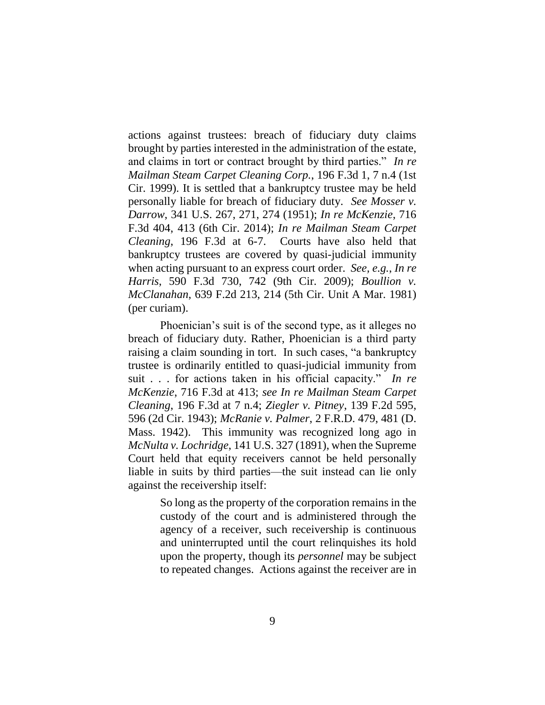actions against trustees: breach of fiduciary duty claims brought by parties interested in the administration of the estate, and claims in tort or contract brought by third parties." *In re Mailman Steam Carpet Cleaning Corp.*, 196 F.3d 1, 7 n.4 (1st Cir. 1999). It is settled that a bankruptcy trustee may be held personally liable for breach of fiduciary duty. *See Mosser v. Darrow*, 341 U.S. 267, 271, 274 (1951); *In re McKenzie*, 716 F.3d 404, 413 (6th Cir. 2014); *In re Mailman Steam Carpet Cleaning*, 196 F.3d at 6-7. Courts have also held that bankruptcy trustees are covered by quasi-judicial immunity when acting pursuant to an express court order. *See, e.g.*, *In re Harris*, 590 F.3d 730, 742 (9th Cir. 2009); *Boullion v. McClanahan*, 639 F.2d 213, 214 (5th Cir. Unit A Mar. 1981) (per curiam).

Phoenician's suit is of the second type, as it alleges no breach of fiduciary duty. Rather, Phoenician is a third party raising a claim sounding in tort. In such cases, "a bankruptcy trustee is ordinarily entitled to quasi-judicial immunity from suit . . . for actions taken in his official capacity." *In re McKenzie*, 716 F.3d at 413; *see In re Mailman Steam Carpet Cleaning*, 196 F.3d at 7 n.4; *Ziegler v. Pitney*, 139 F.2d 595, 596 (2d Cir. 1943); *McRanie v. Palmer*, 2 F.R.D. 479, 481 (D. Mass. 1942). This immunity was recognized long ago in *McNulta v. Lochridge*, 141 U.S. 327 (1891), when the Supreme Court held that equity receivers cannot be held personally liable in suits by third parties—the suit instead can lie only against the receivership itself:

> So long as the property of the corporation remains in the custody of the court and is administered through the agency of a receiver, such receivership is continuous and uninterrupted until the court relinquishes its hold upon the property, though its *personnel* may be subject to repeated changes. Actions against the receiver are in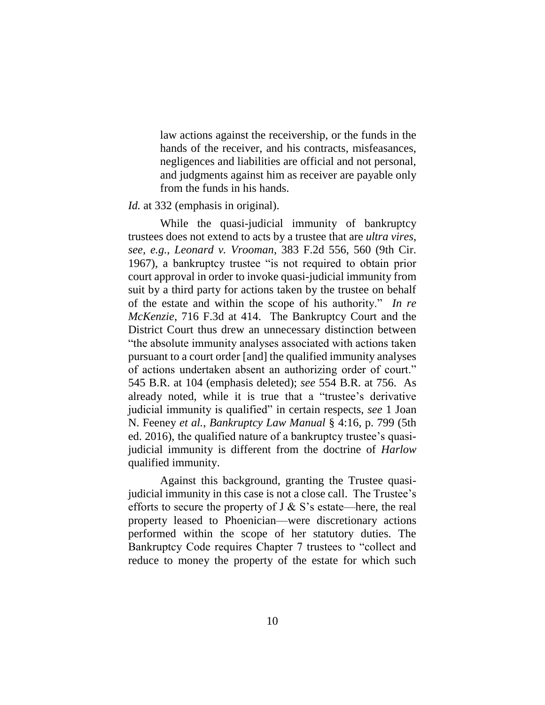law actions against the receivership, or the funds in the hands of the receiver, and his contracts, misfeasances, negligences and liabilities are official and not personal, and judgments against him as receiver are payable only from the funds in his hands.

#### *Id.* at 332 (emphasis in original).

While the quasi-judicial immunity of bankruptcy trustees does not extend to acts by a trustee that are *ultra vires*, *see, e.g.*, *Leonard v. Vrooman*, 383 F.2d 556, 560 (9th Cir. 1967), a bankruptcy trustee "is not required to obtain prior court approval in order to invoke quasi-judicial immunity from suit by a third party for actions taken by the trustee on behalf of the estate and within the scope of his authority." *In re McKenzie*, 716 F.3d at 414. The Bankruptcy Court and the District Court thus drew an unnecessary distinction between "the absolute immunity analyses associated with actions taken pursuant to a court order [and] the qualified immunity analyses of actions undertaken absent an authorizing order of court." 545 B.R. at 104 (emphasis deleted); *see* 554 B.R. at 756. As already noted, while it is true that a "trustee's derivative judicial immunity is qualified" in certain respects, *see* 1 Joan N. Feeney *et al.*, *Bankruptcy Law Manual* § 4:16, p. 799 (5th ed. 2016), the qualified nature of a bankruptcy trustee's quasijudicial immunity is different from the doctrine of *Harlow* qualified immunity.

Against this background, granting the Trustee quasijudicial immunity in this case is not a close call. The Trustee's efforts to secure the property of  $J \& S$ 's estate—here, the real property leased to Phoenician—were discretionary actions performed within the scope of her statutory duties. The Bankruptcy Code requires Chapter 7 trustees to "collect and reduce to money the property of the estate for which such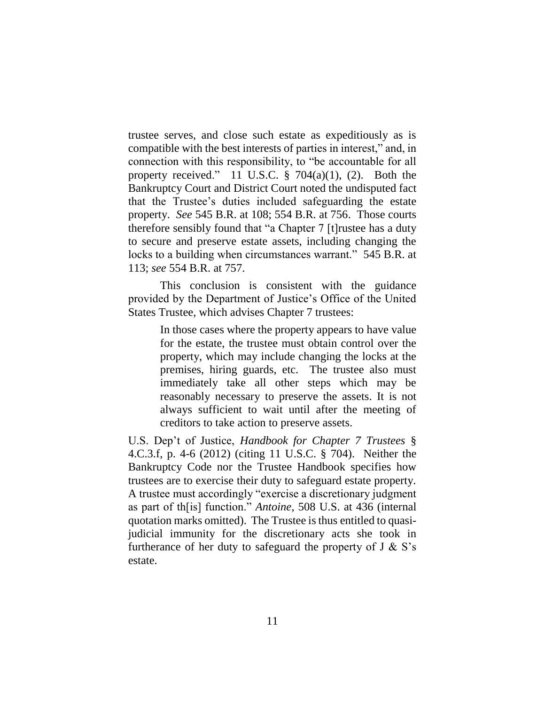trustee serves, and close such estate as expeditiously as is compatible with the best interests of parties in interest," and, in connection with this responsibility, to "be accountable for all property received." 11 U.S.C.  $\S$  704(a)(1), (2). Both the Bankruptcy Court and District Court noted the undisputed fact that the Trustee's duties included safeguarding the estate property. *See* 545 B.R. at 108; 554 B.R. at 756. Those courts therefore sensibly found that "a Chapter 7 [t]rustee has a duty to secure and preserve estate assets, including changing the locks to a building when circumstances warrant." 545 B.R. at 113; *see* 554 B.R. at 757.

This conclusion is consistent with the guidance provided by the Department of Justice's Office of the United States Trustee, which advises Chapter 7 trustees:

> In those cases where the property appears to have value for the estate, the trustee must obtain control over the property, which may include changing the locks at the premises, hiring guards, etc. The trustee also must immediately take all other steps which may be reasonably necessary to preserve the assets. It is not always sufficient to wait until after the meeting of creditors to take action to preserve assets.

U.S. Dep't of Justice, *Handbook for Chapter 7 Trustees* § 4.C.3.f, p. 4-6 (2012) (citing 11 U.S.C. § 704). Neither the Bankruptcy Code nor the Trustee Handbook specifies how trustees are to exercise their duty to safeguard estate property. A trustee must accordingly "exercise a discretionary judgment as part of th[is] function." *Antoine*, 508 U.S. at 436 (internal quotation marks omitted). The Trustee is thus entitled to quasijudicial immunity for the discretionary acts she took in furtherance of her duty to safeguard the property of  $J \& S$ 's estate.